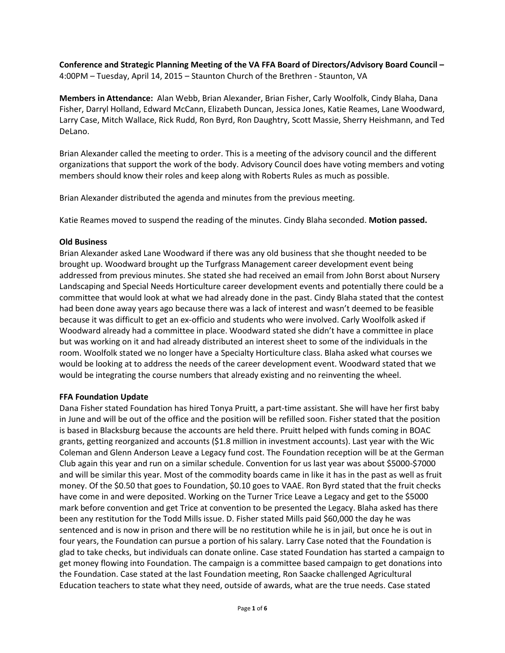**Conference and Strategic Planning Meeting of the VA FFA Board of Directors/Advisory Board Council –** 4:00PM – Tuesday, April 14, 2015 – Staunton Church of the Brethren - Staunton, VA

**Members in Attendance:** Alan Webb, Brian Alexander, Brian Fisher, Carly Woolfolk, Cindy Blaha, Dana Fisher, Darryl Holland, Edward McCann, Elizabeth Duncan, Jessica Jones, Katie Reames, Lane Woodward, Larry Case, Mitch Wallace, Rick Rudd, Ron Byrd, Ron Daughtry, Scott Massie, Sherry Heishmann, and Ted DeLano.

Brian Alexander called the meeting to order. This is a meeting of the advisory council and the different organizations that support the work of the body. Advisory Council does have voting members and voting members should know their roles and keep along with Roberts Rules as much as possible.

Brian Alexander distributed the agenda and minutes from the previous meeting.

Katie Reames moved to suspend the reading of the minutes. Cindy Blaha seconded. **Motion passed.**

## **Old Business**

Brian Alexander asked Lane Woodward if there was any old business that she thought needed to be brought up. Woodward brought up the Turfgrass Management career development event being addressed from previous minutes. She stated she had received an email from John Borst about Nursery Landscaping and Special Needs Horticulture career development events and potentially there could be a committee that would look at what we had already done in the past. Cindy Blaha stated that the contest had been done away years ago because there was a lack of interest and wasn't deemed to be feasible because it was difficult to get an ex-officio and students who were involved. Carly Woolfolk asked if Woodward already had a committee in place. Woodward stated she didn't have a committee in place but was working on it and had already distributed an interest sheet to some of the individuals in the room. Woolfolk stated we no longer have a Specialty Horticulture class. Blaha asked what courses we would be looking at to address the needs of the career development event. Woodward stated that we would be integrating the course numbers that already existing and no reinventing the wheel.

# **FFA Foundation Update**

Dana Fisher stated Foundation has hired Tonya Pruitt, a part-time assistant. She will have her first baby in June and will be out of the office and the position will be refilled soon. Fisher stated that the position is based in Blacksburg because the accounts are held there. Pruitt helped with funds coming in BOAC grants, getting reorganized and accounts (\$1.8 million in investment accounts). Last year with the Wic Coleman and Glenn Anderson Leave a Legacy fund cost. The Foundation reception will be at the German Club again this year and run on a similar schedule. Convention for us last year was about \$5000-\$7000 and will be similar this year. Most of the commodity boards came in like it has in the past as well as fruit money. Of the \$0.50 that goes to Foundation, \$0.10 goes to VAAE. Ron Byrd stated that the fruit checks have come in and were deposited. Working on the Turner Trice Leave a Legacy and get to the \$5000 mark before convention and get Trice at convention to be presented the Legacy. Blaha asked has there been any restitution for the Todd Mills issue. D. Fisher stated Mills paid \$60,000 the day he was sentenced and is now in prison and there will be no restitution while he is in jail, but once he is out in four years, the Foundation can pursue a portion of his salary. Larry Case noted that the Foundation is glad to take checks, but individuals can donate online. Case stated Foundation has started a campaign to get money flowing into Foundation. The campaign is a committee based campaign to get donations into the Foundation. Case stated at the last Foundation meeting, Ron Saacke challenged Agricultural Education teachers to state what they need, outside of awards, what are the true needs. Case stated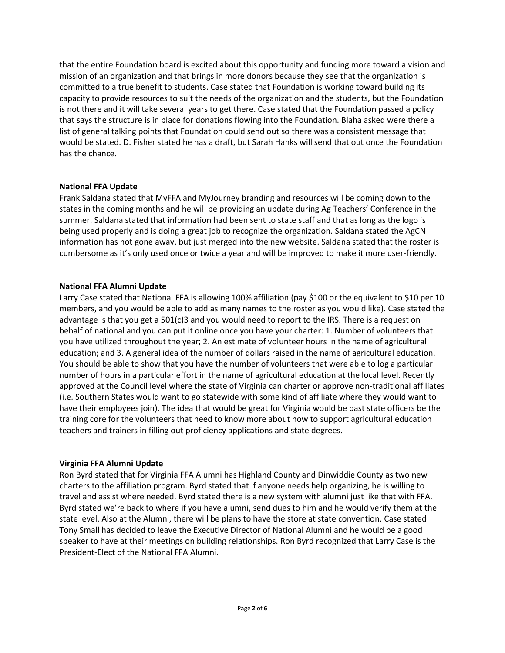that the entire Foundation board is excited about this opportunity and funding more toward a vision and mission of an organization and that brings in more donors because they see that the organization is committed to a true benefit to students. Case stated that Foundation is working toward building its capacity to provide resources to suit the needs of the organization and the students, but the Foundation is not there and it will take several years to get there. Case stated that the Foundation passed a policy that says the structure is in place for donations flowing into the Foundation. Blaha asked were there a list of general talking points that Foundation could send out so there was a consistent message that would be stated. D. Fisher stated he has a draft, but Sarah Hanks will send that out once the Foundation has the chance.

## **National FFA Update**

Frank Saldana stated that MyFFA and MyJourney branding and resources will be coming down to the states in the coming months and he will be providing an update during Ag Teachers' Conference in the summer. Saldana stated that information had been sent to state staff and that as long as the logo is being used properly and is doing a great job to recognize the organization. Saldana stated the AgCN information has not gone away, but just merged into the new website. Saldana stated that the roster is cumbersome as it's only used once or twice a year and will be improved to make it more user-friendly.

# **National FFA Alumni Update**

Larry Case stated that National FFA is allowing 100% affiliation (pay \$100 or the equivalent to \$10 per 10 members, and you would be able to add as many names to the roster as you would like). Case stated the advantage is that you get a 501(c)3 and you would need to report to the IRS. There is a request on behalf of national and you can put it online once you have your charter: 1. Number of volunteers that you have utilized throughout the year; 2. An estimate of volunteer hours in the name of agricultural education; and 3. A general idea of the number of dollars raised in the name of agricultural education. You should be able to show that you have the number of volunteers that were able to log a particular number of hours in a particular effort in the name of agricultural education at the local level. Recently approved at the Council level where the state of Virginia can charter or approve non-traditional affiliates (i.e. Southern States would want to go statewide with some kind of affiliate where they would want to have their employees join). The idea that would be great for Virginia would be past state officers be the training core for the volunteers that need to know more about how to support agricultural education teachers and trainers in filling out proficiency applications and state degrees.

# **Virginia FFA Alumni Update**

Ron Byrd stated that for Virginia FFA Alumni has Highland County and Dinwiddie County as two new charters to the affiliation program. Byrd stated that if anyone needs help organizing, he is willing to travel and assist where needed. Byrd stated there is a new system with alumni just like that with FFA. Byrd stated we're back to where if you have alumni, send dues to him and he would verify them at the state level. Also at the Alumni, there will be plans to have the store at state convention. Case stated Tony Small has decided to leave the Executive Director of National Alumni and he would be a good speaker to have at their meetings on building relationships. Ron Byrd recognized that Larry Case is the President-Elect of the National FFA Alumni.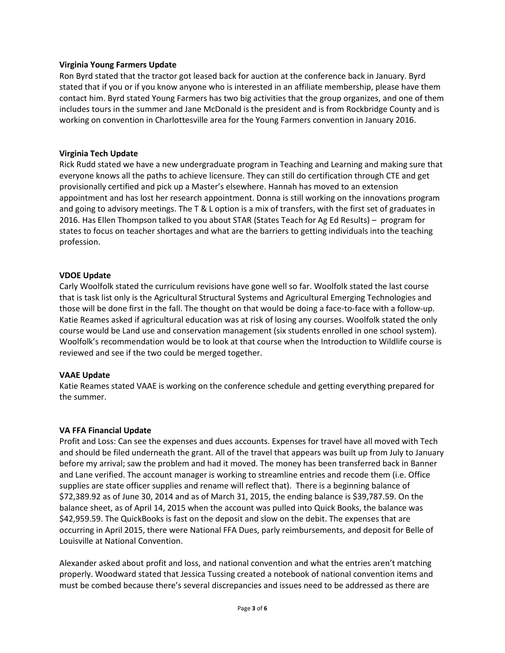## **Virginia Young Farmers Update**

Ron Byrd stated that the tractor got leased back for auction at the conference back in January. Byrd stated that if you or if you know anyone who is interested in an affiliate membership, please have them contact him. Byrd stated Young Farmers has two big activities that the group organizes, and one of them includes tours in the summer and Jane McDonald is the president and is from Rockbridge County and is working on convention in Charlottesville area for the Young Farmers convention in January 2016.

## **Virginia Tech Update**

Rick Rudd stated we have a new undergraduate program in Teaching and Learning and making sure that everyone knows all the paths to achieve licensure. They can still do certification through CTE and get provisionally certified and pick up a Master's elsewhere. Hannah has moved to an extension appointment and has lost her research appointment. Donna is still working on the innovations program and going to advisory meetings. The T & L option is a mix of transfers, with the first set of graduates in 2016. Has Ellen Thompson talked to you about STAR (States Teach for Ag Ed Results) – program for states to focus on teacher shortages and what are the barriers to getting individuals into the teaching profession.

## **VDOE Update**

Carly Woolfolk stated the curriculum revisions have gone well so far. Woolfolk stated the last course that is task list only is the Agricultural Structural Systems and Agricultural Emerging Technologies and those will be done first in the fall. The thought on that would be doing a face-to-face with a follow-up. Katie Reames asked if agricultural education was at risk of losing any courses. Woolfolk stated the only course would be Land use and conservation management (six students enrolled in one school system). Woolfolk's recommendation would be to look at that course when the Introduction to Wildlife course is reviewed and see if the two could be merged together.

### **VAAE Update**

Katie Reames stated VAAE is working on the conference schedule and getting everything prepared for the summer.

### **VA FFA Financial Update**

Profit and Loss: Can see the expenses and dues accounts. Expenses for travel have all moved with Tech and should be filed underneath the grant. All of the travel that appears was built up from July to January before my arrival; saw the problem and had it moved. The money has been transferred back in Banner and Lane verified. The account manager is working to streamline entries and recode them (i.e. Office supplies are state officer supplies and rename will reflect that). There is a beginning balance of \$72,389.92 as of June 30, 2014 and as of March 31, 2015, the ending balance is \$39,787.59. On the balance sheet, as of April 14, 2015 when the account was pulled into Quick Books, the balance was \$42,959.59. The QuickBooks is fast on the deposit and slow on the debit. The expenses that are occurring in April 2015, there were National FFA Dues, parly reimbursements, and deposit for Belle of Louisville at National Convention.

Alexander asked about profit and loss, and national convention and what the entries aren't matching properly. Woodward stated that Jessica Tussing created a notebook of national convention items and must be combed because there's several discrepancies and issues need to be addressed as there are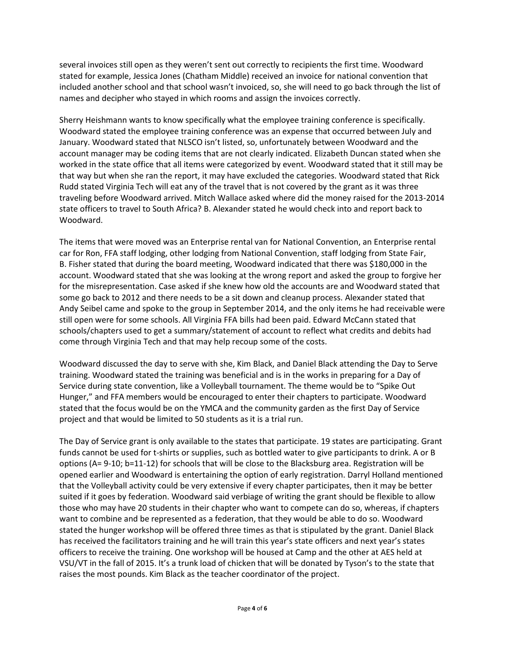several invoices still open as they weren't sent out correctly to recipients the first time. Woodward stated for example, Jessica Jones (Chatham Middle) received an invoice for national convention that included another school and that school wasn't invoiced, so, she will need to go back through the list of names and decipher who stayed in which rooms and assign the invoices correctly.

Sherry Heishmann wants to know specifically what the employee training conference is specifically. Woodward stated the employee training conference was an expense that occurred between July and January. Woodward stated that NLSCO isn't listed, so, unfortunately between Woodward and the account manager may be coding items that are not clearly indicated. Elizabeth Duncan stated when she worked in the state office that all items were categorized by event. Woodward stated that it still may be that way but when she ran the report, it may have excluded the categories. Woodward stated that Rick Rudd stated Virginia Tech will eat any of the travel that is not covered by the grant as it was three traveling before Woodward arrived. Mitch Wallace asked where did the money raised for the 2013-2014 state officers to travel to South Africa? B. Alexander stated he would check into and report back to Woodward.

The items that were moved was an Enterprise rental van for National Convention, an Enterprise rental car for Ron, FFA staff lodging, other lodging from National Convention, staff lodging from State Fair, B. Fisher stated that during the board meeting, Woodward indicated that there was \$180,000 in the account. Woodward stated that she was looking at the wrong report and asked the group to forgive her for the misrepresentation. Case asked if she knew how old the accounts are and Woodward stated that some go back to 2012 and there needs to be a sit down and cleanup process. Alexander stated that Andy Seibel came and spoke to the group in September 2014, and the only items he had receivable were still open were for some schools. All Virginia FFA bills had been paid. Edward McCann stated that schools/chapters used to get a summary/statement of account to reflect what credits and debits had come through Virginia Tech and that may help recoup some of the costs.

Woodward discussed the day to serve with she, Kim Black, and Daniel Black attending the Day to Serve training. Woodward stated the training was beneficial and is in the works in preparing for a Day of Service during state convention, like a Volleyball tournament. The theme would be to "Spike Out Hunger," and FFA members would be encouraged to enter their chapters to participate. Woodward stated that the focus would be on the YMCA and the community garden as the first Day of Service project and that would be limited to 50 students as it is a trial run.

The Day of Service grant is only available to the states that participate. 19 states are participating. Grant funds cannot be used for t-shirts or supplies, such as bottled water to give participants to drink. A or B options (A= 9-10; b=11-12) for schools that will be close to the Blacksburg area. Registration will be opened earlier and Woodward is entertaining the option of early registration. Darryl Holland mentioned that the Volleyball activity could be very extensive if every chapter participates, then it may be better suited if it goes by federation. Woodward said verbiage of writing the grant should be flexible to allow those who may have 20 students in their chapter who want to compete can do so, whereas, if chapters want to combine and be represented as a federation, that they would be able to do so. Woodward stated the hunger workshop will be offered three times as that is stipulated by the grant. Daniel Black has received the facilitators training and he will train this year's state officers and next year's states officers to receive the training. One workshop will be housed at Camp and the other at AES held at VSU/VT in the fall of 2015. It's a trunk load of chicken that will be donated by Tyson's to the state that raises the most pounds. Kim Black as the teacher coordinator of the project.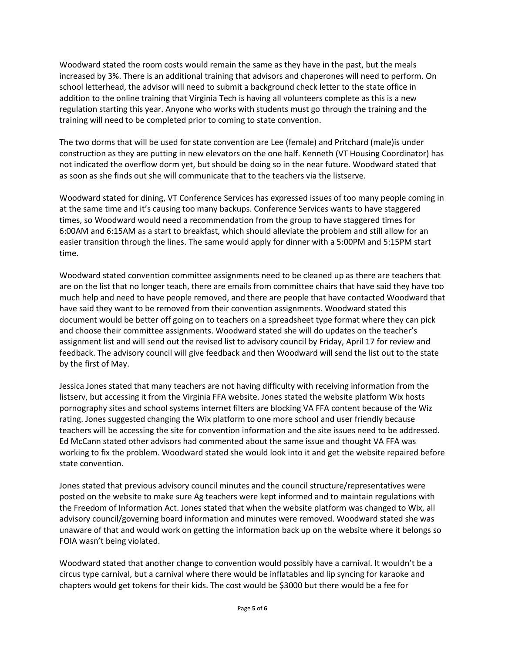Woodward stated the room costs would remain the same as they have in the past, but the meals increased by 3%. There is an additional training that advisors and chaperones will need to perform. On school letterhead, the advisor will need to submit a background check letter to the state office in addition to the online training that Virginia Tech is having all volunteers complete as this is a new regulation starting this year. Anyone who works with students must go through the training and the training will need to be completed prior to coming to state convention.

The two dorms that will be used for state convention are Lee (female) and Pritchard (male)is under construction as they are putting in new elevators on the one half. Kenneth (VT Housing Coordinator) has not indicated the overflow dorm yet, but should be doing so in the near future. Woodward stated that as soon as she finds out she will communicate that to the teachers via the listserve.

Woodward stated for dining, VT Conference Services has expressed issues of too many people coming in at the same time and it's causing too many backups. Conference Services wants to have staggered times, so Woodward would need a recommendation from the group to have staggered times for 6:00AM and 6:15AM as a start to breakfast, which should alleviate the problem and still allow for an easier transition through the lines. The same would apply for dinner with a 5:00PM and 5:15PM start time.

Woodward stated convention committee assignments need to be cleaned up as there are teachers that are on the list that no longer teach, there are emails from committee chairs that have said they have too much help and need to have people removed, and there are people that have contacted Woodward that have said they want to be removed from their convention assignments. Woodward stated this document would be better off going on to teachers on a spreadsheet type format where they can pick and choose their committee assignments. Woodward stated she will do updates on the teacher's assignment list and will send out the revised list to advisory council by Friday, April 17 for review and feedback. The advisory council will give feedback and then Woodward will send the list out to the state by the first of May.

Jessica Jones stated that many teachers are not having difficulty with receiving information from the listserv, but accessing it from the Virginia FFA website. Jones stated the website platform Wix hosts pornography sites and school systems internet filters are blocking VA FFA content because of the Wiz rating. Jones suggested changing the Wix platform to one more school and user friendly because teachers will be accessing the site for convention information and the site issues need to be addressed. Ed McCann stated other advisors had commented about the same issue and thought VA FFA was working to fix the problem. Woodward stated she would look into it and get the website repaired before state convention.

Jones stated that previous advisory council minutes and the council structure/representatives were posted on the website to make sure Ag teachers were kept informed and to maintain regulations with the Freedom of Information Act. Jones stated that when the website platform was changed to Wix, all advisory council/governing board information and minutes were removed. Woodward stated she was unaware of that and would work on getting the information back up on the website where it belongs so FOIA wasn't being violated.

Woodward stated that another change to convention would possibly have a carnival. It wouldn't be a circus type carnival, but a carnival where there would be inflatables and lip syncing for karaoke and chapters would get tokens for their kids. The cost would be \$3000 but there would be a fee for